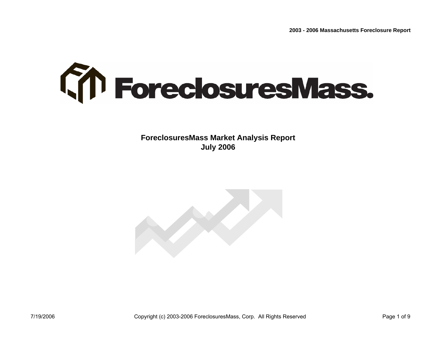

**ForeclosuresMass Market Analysis Report July 2006**

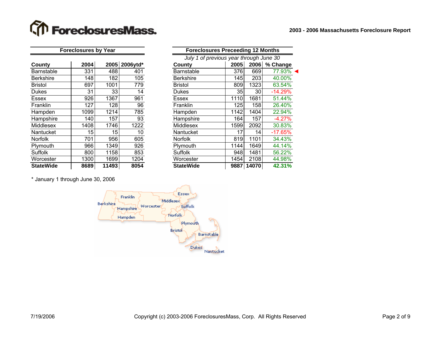## **The ForeclosuresMass.**

| County           | 2004 | 2005  | 2006ytd* | County           | 2005 | 2006  |  |
|------------------|------|-------|----------|------------------|------|-------|--|
| Barnstable       | 331  | 488   | 401      | Barnstable       | 376  | 669   |  |
| <b>Berkshire</b> | 148  | 182   | 105      | <b>Berkshire</b> | 145  | 203   |  |
| <b>Bristol</b>   | 697  | 1001  | 779      | <b>Bristol</b>   | 809  | 1323  |  |
| <b>Dukes</b>     | 31   | 33    | 14       | <b>Dukes</b>     | 35I  | 30    |  |
| <b>Essex</b>     | 926  | 1367  | 961      | <b>Essex</b>     | 1110 | 1681  |  |
| <b>Franklin</b>  | 127  | 128   | 96       | <b>Franklin</b>  | 125  | 158   |  |
| Hampden          | 1099 | 1214  | 785      | Hampden          | 1142 | 1404  |  |
| Hampshire        | 140  | 157   | 93       | Hampshire        | 164  | 157   |  |
| Middlesex        | 1408 | 1746  | 1222     | Middlesex        | 1599 | 2092  |  |
| Nantucket        | 15   | 15    | 10       | Nantucket        | 17   | 14    |  |
| <b>Norfolk</b>   | 701  | 956   | 605      | <b>Norfolk</b>   | 819  | 1101  |  |
| Plymouth         | 966  | 1349  | 926      | Plymouth         | 1144 | 1649  |  |
| Suffolk          | 800  | 1158  | 853      | <b>Suffolk</b>   | 948  | 1481  |  |
| Worcester        | 1300 | 1699  | 1204     | Worcester        | 1454 | 2108  |  |
| <b>StateWide</b> | 8689 | 11493 | 8054     | <b>StateWide</b> | 9887 | 14070 |  |

|                  | <b>Foreclosures by Year</b> |       |               | <b>Foreclosures Preceeding 12 Months</b> |                                         |       |           |  |  |  |  |  |
|------------------|-----------------------------|-------|---------------|------------------------------------------|-----------------------------------------|-------|-----------|--|--|--|--|--|
|                  |                             |       |               |                                          | July 1 of previous year through June 30 |       |           |  |  |  |  |  |
| County           | 2004                        |       | 2005 2006ytd* | <b>County</b>                            | 2005                                    | 2006  | % Change  |  |  |  |  |  |
| Barnstable       | 331                         | 488   | 401           | <b>Barnstable</b>                        | 376                                     | 669   | 77.93%    |  |  |  |  |  |
| <b>Berkshire</b> | 148                         | 182   | 105           | <b>Berkshire</b>                         | 145                                     | 203   | 40.00%    |  |  |  |  |  |
| <b>Bristol</b>   | 697                         | 1001  | 779           | <b>Bristol</b>                           | 809                                     | 1323  | 63.54%    |  |  |  |  |  |
| <b>Dukes</b>     | 31                          | 33    | 14            | <b>Dukes</b>                             | 35                                      | 30    | $-14.29%$ |  |  |  |  |  |
| Essex            | 926                         | 1367  | 961           | <b>Essex</b>                             | 1110                                    | 1681  | 51.44%    |  |  |  |  |  |
| Franklin         | 127                         | 128   | 96            | Franklin                                 | 125                                     | 158   | 26.40%    |  |  |  |  |  |
| Hampden          | 1099                        | 1214  | 785           | Hampden                                  | 1142                                    | 1404  | 22.94%    |  |  |  |  |  |
| Hampshire        | 140                         | 157   | 93            | Hampshire                                | 164                                     | 157   | $-4.27%$  |  |  |  |  |  |
| Middlesex        | 1408                        | 1746  | 1222          | <b>Middlesex</b>                         | 1599                                    | 2092  | 30.83%    |  |  |  |  |  |
| Nantucket        | 15                          | 15    | 10            | Nantucket                                | 17                                      | 14    | $-17.65%$ |  |  |  |  |  |
| Norfolk          | 701                         | 956   | 605           | Norfolk                                  | 819                                     | 1101  | 34.43%    |  |  |  |  |  |
| Plymouth         | 966                         | 1349  | 926           | Plymouth                                 | 1144                                    | 1649  | 44.14%    |  |  |  |  |  |
| <b>Suffolk</b>   | 800                         | 1158  | 853           | Suffolk                                  | 948                                     | 1481  | 56.22%    |  |  |  |  |  |
| Worcester        | 1300                        | 1699  | 1204          | Worcester                                | 1454                                    | 2108  | 44.98%    |  |  |  |  |  |
| <b>StateWide</b> | 8689                        | 11493 | 8054          | <b>StateWide</b>                         | 9887                                    | 14070 | 42.31%    |  |  |  |  |  |

\* January 1 through June 30, 2006

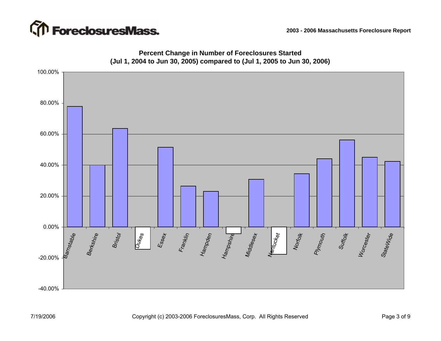



### **Percent Change in Number of Foreclosures Started (Jul 1, 2004 to Jun 30, 2005) compared to (Jul 1, 2005 to Jun 30, 2006)**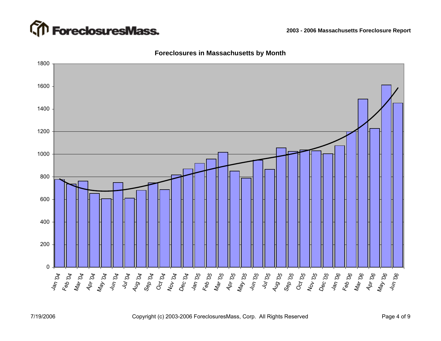



#### **Foreclosures in Massachusetts by Month**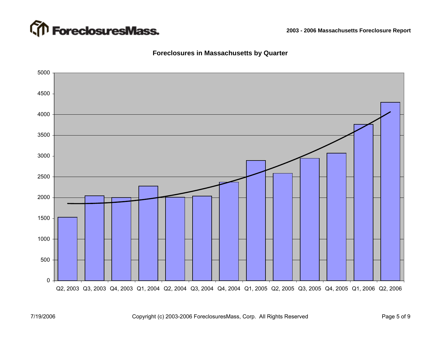

### **Foreclosures in Massachusetts by Quarter**

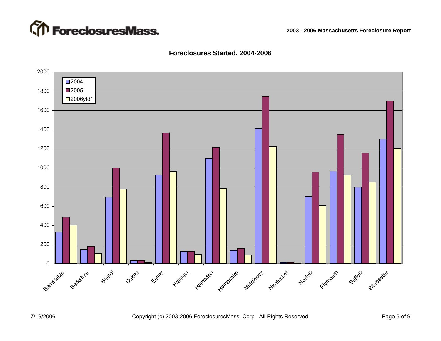

#### **Foreclosures Started, 2004-2006**



7/19/2006 Copyright (c) 2003-2006 ForeclosuresMass, Corp. All Rights Reserved Page 6 of 9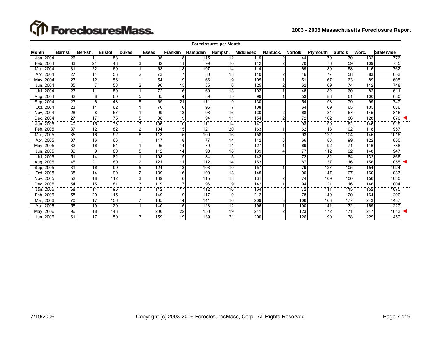# **The ForeclosuresMass.**

| <b>Foreclosures per Month</b> |                 |                 |                 |                |                  |                 |                 |                 |                  |                |                 |                 |                 |                  |                  |
|-------------------------------|-----------------|-----------------|-----------------|----------------|------------------|-----------------|-----------------|-----------------|------------------|----------------|-----------------|-----------------|-----------------|------------------|------------------|
| <b>Month</b>                  | Barnst.         | Berksh.         | <b>Bristol</b>  | <b>Dukes</b>   | <b>Essex</b>     | <b>Franklin</b> | Hampden         | Hampsh.         | <b>Middlesex</b> | Nantuck.       | <b>Norfolk</b>  | Plymouth        | <b>Suffolk</b>  | Worc.            | <b>StateWide</b> |
| Jan, 2004                     | 26              | 11              | 58              | 5              | 95               | 8               | 115             | 12              | 119              | $\overline{2}$ | 44              | 79              | 70              | 132              | 776              |
| Feb. 2004                     | 33              | $\overline{21}$ | 48              | 3              | $\overline{82}$  | 11              | 99              | 10              | 112              |                | 70              | 76              | 59              | 109              | 735              |
| Mar, 2004                     | 31              | 22              | 69              |                | 63               | 18              | 107             | 14              | 114              |                | 69              | 80              | 58              | 116              | 762              |
| Apr, 2004                     | 27              | 14              | 56              | $\overline{2}$ | 73               | $\overline{7}$  | 80              | 18              | 110              | $\overline{2}$ | 46              | $\overline{77}$ | 58              | 83               | 653              |
| May, 2004                     | 23              | 12              | 56              |                | 54               | 9               | 66              | 9               | 105              |                | 51              | 67              | 63              | 89               | 605              |
| Jun, 2004                     | 35              | 7               | 58              | $\overline{2}$ | 96               | 15              | 85              | ĥ               | 125              |                | 62              | 69              | $\overline{74}$ | 112              | 748              |
| Jul, 2004                     | 23              | 11              | 50              |                | 72               | 6               | 60              | 13              | 102              |                | 48              | 82              | 60              | 82               | 611              |
| Aug, 2004                     | 32              | 8               | 60              | 5              | 65               | 4               | 89              | 15              | 99               |                | 53              | $\overline{88}$ | 61              | 100              | 680              |
| Sep, 2004                     | $\overline{23}$ | $6 \,$          | 48              | 5              | 69               | 21              | 111             |                 | 130              |                | 54              | $\overline{93}$ | 79              | 99               | 747              |
| Oct, 2004                     | 23              | 11              | 62              |                | 70               | 6               | 95              |                 | 108              |                | 64              | 69              | 65              | 105              | 686              |
| Nov, 2004                     | 28              | 8               | 57              |                | 99               | 13              | 98              | 16              | 130              |                | 68              | 84              | 67              | 145              | 816              |
| Dec, 2004                     | 27              | 17              | $\overline{75}$ | 5              | 88               | 9               | 94              | 11              | 154              | 2              | $\overline{72}$ | 102             | 86              | $\overline{128}$ | 870              |
| Jan, 2005                     | 40              | 15              | 73              | 3              | 106              | 10              | 711             | 14              | 147              |                | 93              | 99              | 62              | 146              | 919              |
| Feb, 2005                     | 37              | 12              | 82              | $\overline{2}$ | 104              | 15              | 121             | 20              | 163              |                | 62              | 118             | 102             | 118              | 957              |
| Mar, 2005                     | 35              | 16              | 92              | 6              | 113              | 5               | 109             | 16              | 158              |                | 93              | 122             | 104             | 145              | 1016             |
| Apr, 2005                     | 37              | 16              | 66              |                | 117              | 8               | $\overline{77}$ | 14              | 142              |                | 66              | 83              | 99              | 122              | 850              |
| May, 2005                     | 32              | 16              | 64              |                | 95               | $\overline{14}$ | 79              | 11              | 127              |                | 69              | $\overline{92}$ | $\overline{71}$ | 116              | 788              |
| Jun, 2005                     | 39              | $\overline{9}$  | 80              | 5              | 112              | 14              | 98              | $\overline{18}$ | 139              |                | $\overline{77}$ | 112             | 92              | 148              | 947              |
| Jul, 2005                     | 51              | 14              | 82              |                | 108              | 9               | 84              |                 | 142              |                | 72              | 82              | 84              | 132              | 866              |
| Aug, 2005                     | 45              | 21              | 80              | $\overline{2}$ | 121              | 11              | 112             | 14              | 153              |                | 87              | 137             | 116             | 156              | 1055             |
| Sep, 2005                     | 31              | 16              | 99              | 5              | 124              | $\overline{13}$ | 103             | 10              | 157              |                | 79              | 127             | 105             | 154              | 1024             |
| Oct. 2005                     | 35              | 14              | 90              | $\overline{2}$ | 109              | 16              | 109             | 13              | 145              |                | 90              | 147             | 107             | 160              | 1037             |
| Nov, 2005                     | 52              | 18              | 112             | 3              | 139              | 6               | 115             | 13              | 131              | 2              | 74              | 109             | 100             | 156              | 1030             |
| Dec, 2005                     | 54              | 15              | $\overline{81}$ | 3              | 119              | $\overline{7}$  | $\overline{96}$ | $\mathbf{Q}$    | 142              |                | 94              | 121             | 116             | 146              | 1004             |
| Jan, 2006                     | 58              | 14              | $\overline{95}$ | 3              | $\overline{142}$ | 17              | 112             | 16              | 164              |                | 72              | 111             | 115             | 152              | 1075             |
| Feb, 2006                     | 58              | 20              | 115             |                | 149              | 9               | 117             | $\mathbf{Q}$    | 212              |                | 78              | 149             | 120             | 164              | 1200             |
| Mar, 2006                     | 70              | 17              | 156             | $\overline{7}$ | 165              | 14              | 141             | 16              | 209              |                | 106             | 163             | 177             | 243              | 1487             |
| Apr, 2006                     | 58              | 19              | 120             |                | 140              | 15              | 123             | 12              | 196              |                | 100             | 141             | 132             | 169              | 1227             |
| May, 2006                     | 96              | 18              | 143             |                | 206              | 22              | 153             | 19              | 241              |                | 123             | 172             | 171             | 247              | 1613             |
| Jun, 2006                     | 61              | 17              | 150             | 3              | 159              | $\overline{19}$ | 139             | 21              | 200              |                | 126             | 190             | 138             | 229              | 1452             |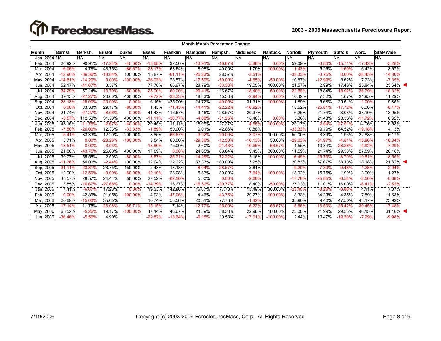# **The ForeclosuresMass.**

**2003 - 2006 Massachusetts Foreclosure Report**

|              | <b>Month-Month Percentage Change</b> |           |                |              |              |                 |           |           |                  |            |                |                 |                |           |                  |
|--------------|--------------------------------------|-----------|----------------|--------------|--------------|-----------------|-----------|-----------|------------------|------------|----------------|-----------------|----------------|-----------|------------------|
| Month        | <b>Barnst.</b>                       | Berksh.   | <b>Bristol</b> | <b>Dukes</b> | <b>Essex</b> | <b>Franklin</b> | Hampden   | Hampsh.   | <b>Middlesex</b> | Nantuck.   | <b>Norfolk</b> | <b>Plymouth</b> | <b>Suffolk</b> | Worc.     | <b>StateWide</b> |
| Jan, 2004 NA |                                      | <b>NA</b> | <b>NA</b>      | <b>NA</b>    | <b>NA</b>    | <b>NA</b>       | <b>NA</b> | <b>NA</b> | <b>NA</b>        | <b>NA</b>  | <b>NA</b>      | <b>NA</b>       | <b>NA</b>      | <b>NA</b> | <b>NA</b>        |
| Feb, 2004    | 26.92%                               | 90.91%    | $-17.24%$      | $-40.00%$    | $-13.68%$    | 37.50%          | $-13.91%$ | $-16.67%$ | $-5.88%$         | 0.00%      | 59.09%         | $-3.80%$        | $-15.71%$      | $-17.42%$ | $-5.28%$         |
| Mar, 2004    | $-6.06%$                             | 4.76%     | 43.75%         | $-66.67%$    | $-23.17%$    | 63.64%          | 8.08%     | 40.00%    | 1.79%            | $-100.00%$ | $-1.43%$       | 5.26%           | $-1.69%$       | 6.42%     | 3.67%            |
| Apr, 2004    | $-12.90%$                            | $-36.36%$ | $-18.84%$      | 100.00%      | 15.87%       | $-61.11%$       | $-25.23%$ | 28.57%    | $-3.51%$         |            | $-33.33%$      | $-3.75%$        | 0.00%          | $-28.45%$ | $-14.30%$        |
| May, 2004    | $-14.81%$                            | $-14.29%$ | 0.00%          | $-100.00\%$  | $-26.03%$    | 28.57%          | $-17.50%$ | $-50.00%$ | $-4.55%$         | $-50.00%$  | 10.87%         | $-12.99%$       | 8.62%          | 7.23%     | $-7.35%$         |
| Jun, 2004    | 52.17%                               | $-41.67%$ | 3.57%          |              | 77.78%       | 66.67%          | 28.79%    | $-33.33%$ | 19.05%           | 100.00%    | 21.57%         | 2.99%           | 17.46%         | 25.84%    | $23.64\%$        |
| Jul, 2004    | $-34.29%$                            | 57.14%    | $-13.79%$      | $-50.00%$    | $-25.00%$    | $-60.00%$       | $-29.41%$ | 116.67%   | $-18.40%$        | $-50.00%$  | $-22.58%$      | 18.84%          | $-18.92%$      | $-26.79%$ | $-18.32%$        |
| Aug, 2004    | 39.13%                               | $-27.27%$ | 20.00%         | 400.00%      | $-9.72%$     | $-33.33%$       | 48.33%    | 15.38%    | $-2.94%$         | 0.00%      | 10.42%         | 7.32%           | 1.67%          | 21.95%    | 11.29%           |
| Sep, 2004    | $-28.13%$                            | $-25.00%$ | $-20.00%$      | 0.00%        | 6.15%        | 425.00%         | 24.72%    | $-40.00%$ | 31.31%           | $-100.00%$ | 1.89%          | 5.68%           | 29.51%         | $-1.00%$  | 9.85%            |
| Oct, 2004    | 0.00%                                | 83.33%    | 29.17%         | $-80.00%$    | 1.45%        | $-71.43%$       | $-14.41%$ | $-22.22%$ | $-16.92%$        |            | 18.52%         | $-25.81%$       | $-17.72%$      | 6.06%     | $-8.17%$         |
| Nov, 2004    | 21.74%                               | $-27.27%$ | $-8.06%$       | 0.00%        | 41.43%       | 116.67%         | 3.16%     | 128.57%   | 20.37%           |            | 6.25%          | 21.74%          | 3.08%          | 38.10%    | 18.95%           |
| Dec, 2004    | $-3.57%$                             | 112.50%   | 31.58%         | 400.00%      | $-11.11%$    | $-30.77%$       | $-4.08%$  | $-31.25%$ | 18.46%           | 0.00%      | 5.88%          | 21.43%          | 28.36%         | $-11.72%$ | 6.62%            |
| Jan, 2005    | 48.15%                               | $-11.76%$ | $-2.67%$       | $-40.00%$    | 20.45%       | 11.11%          | 18.09%    | 27.27%    | $-4.55%$         | $-100.00%$ | 29.17%         | $-2.94%$        | $-27.91%$      | 14.06%    | 5.63%            |
| Feb, 2005    | $-7.50%$                             | $-20.00%$ | 12.33%         | $-33.33%$    | $-1.89%$     | 50.00%          | 9.01%     | 42.86%    | 10.88%           |            | $-33.33%$      | 19.19%          | 64.52%         | $-19.18%$ | 4.13%            |
| Mar, 2005    | $-5.41%$                             | 33.33%    | 12.20%         | 200.00%      | 8.65%        | $-66.67%$       | $-9.92%$  | $-20.00%$ | $-3.07%$         | 100.00%    | 50.00%         | 3.39%           | 1.96%          | 22.88%    | 6.17%            |
| Apr, 2005    | 5.71%                                | 0.00%     | $-28.26%$      | $-100.00\%$  | 3.54%        | 60.00%          | $-29.36%$ | $-12.50%$ | $-10.13%$        | 50.00%     | $-29.03%$      | $-31.97%$       | $-4.81%$       | $-15.86%$ | $-16.34%$        |
| May, 2005    | $-13.51%$                            | 0.00%     | $-3.03%$       |              | $-18.80%$    | 75.00%          | 2.60%     | $-21.43%$ | $-10.56%$        | $-66.67%$  | 4.55%          | 10.84%          | $-28.28%$      | $-4.92%$  | $-7.29%$         |
| Jun, 2005    | 21.88%                               | $-43.75%$ | 25.00%         | 400.00%      | 17.89%       | 0.00%           | 24.05%    | 63.64%    | 9.45%            | 300.00%    | 11.59%         | 21.74%          | 29.58%         | 27.59%    | 20.18%           |
| Jul, 2005    | 30.77%                               | 55.56%    | 2.50%          | $-80.00%$    | $-3.57%$     | $-35.71%$       | $-14.29%$ | $-72.22%$ | 2.16%            | $-100.00%$ | $-6.49%$       | $-26.79%$       | $-8.70%$       | $-10.81%$ | $-8.55%$         |
| Aug, 2005    | $-11.76%$                            | 50.00%    | $-2.44%$       | 100.00%      | 12.04%       | 22.22%          | 33.33%    | 180.00%   | 7.75%            |            | 20.83%         | 67.07%          | 38.10%         | 18.18%    | $21.82\%$        |
| Sep, 2005    | $-31.11%$                            | $-23.81%$ | 23.75%         | 150.00%      | 2.48%        | 18.18%          | $-8.04%$  | $-28.57%$ | 2.61%            |            | $-9.20%$       | $-7.30%$        | $-9.48%$       | $-1.28%$  | $-2.94%$         |
| Oct, 2005    | 12.90%                               | $-12.50%$ | $-9.09%$       | $-60.00%$    | $-12.10%$    | 23.08%          | 5.83%     | 30.00%    | $-7.64%$         | $-100.00%$ | 13.92%         | 15.75%          | 1.90%          | 3.90%     | 1.27%            |
| Nov, 2005    | 48.57%                               | 28.57%    | 24.44%         | 50.00%       | 27.52%       | $-62.50%$       | 5.50%     | 0.00%     | $-9.66%$         |            | $-17.78%$      | $-25.85%$       | $-6.54%$       | $-2.50%$  | $-0.68%$         |
| Dec, 2005    | 3.85%                                | $-16.67%$ | $-27.68%$      | 0.00%        | $-14.39%$    | 16.67%          | $-16.52%$ | $-30.77%$ | 8.40%            | $-50.00%$  | 27.03%         | 11.01%          | 16.00%         | $-6.41%$  | $-2.52%$         |
| Jan, 2006    | 7.41%                                | $-6.67%$  | 17.28%         | 0.00%        | 19.33%       | 142.86%         | 16.67%    | 77.78%    | 15.49%           | 300.00%    | $-23.40%$      | $-8.26%$        | $-0.86%$       | 4.11%     | 7.07%            |
| Feb. 2006    | 0.00%                                | 42.86%    | 21.05%         | $-100.00\%$  | 4.93%        | -47.06%         | 4.46%     | $-43.75%$ | 29.27%           | $-100.00%$ | 8.33%          | 34.23%          | 4.35%          | 7.89%     | 11.63%           |
| Mar, 2006    | 20.69%                               | $-15.00%$ | 35.65%         |              | 10.74%       | 55.56%          | 20.51%    | 77.78%    | $-1.42%$         |            | 35.90%         | 9.40%           | 47.50%         | 48.17%    | 23.92%           |
| Apr, 2006    | $-17.14%$                            | 11.76%    | $-23.08%$      | $-85.71%$    | $-15.15%$    | 7.14%           | $-12.77%$ | $-25.00%$ | $-6.22%$         | $-66.67%$  | $-5.66%$       | $-13.50%$       | $-25.42%$      | $-30.45%$ | $-17.48%$        |
| May, 2006    | 65.52%                               | $-5.26%$  | 19.17%         | $-100.00\%$  | 47.14%       | 46.67%          | 24.39%    | 58.33%    | 22.96%           | 100.00%    | 23.00%         | 21.99%          | 29.55%         | 46.15%    | $31.46\%$        |
| Jun, 2006    | $-36.46%$                            | $-5.56%$  | 4.90%          |              | $-22.82%$    | $-13.64%$       | $-9.15%$  | 10.53%    | $-17.01%$        | $-100.00%$ | 2.44%          | 10.47%          | $-19.30%$      | $-7.29%$  | $-9.98%$         |